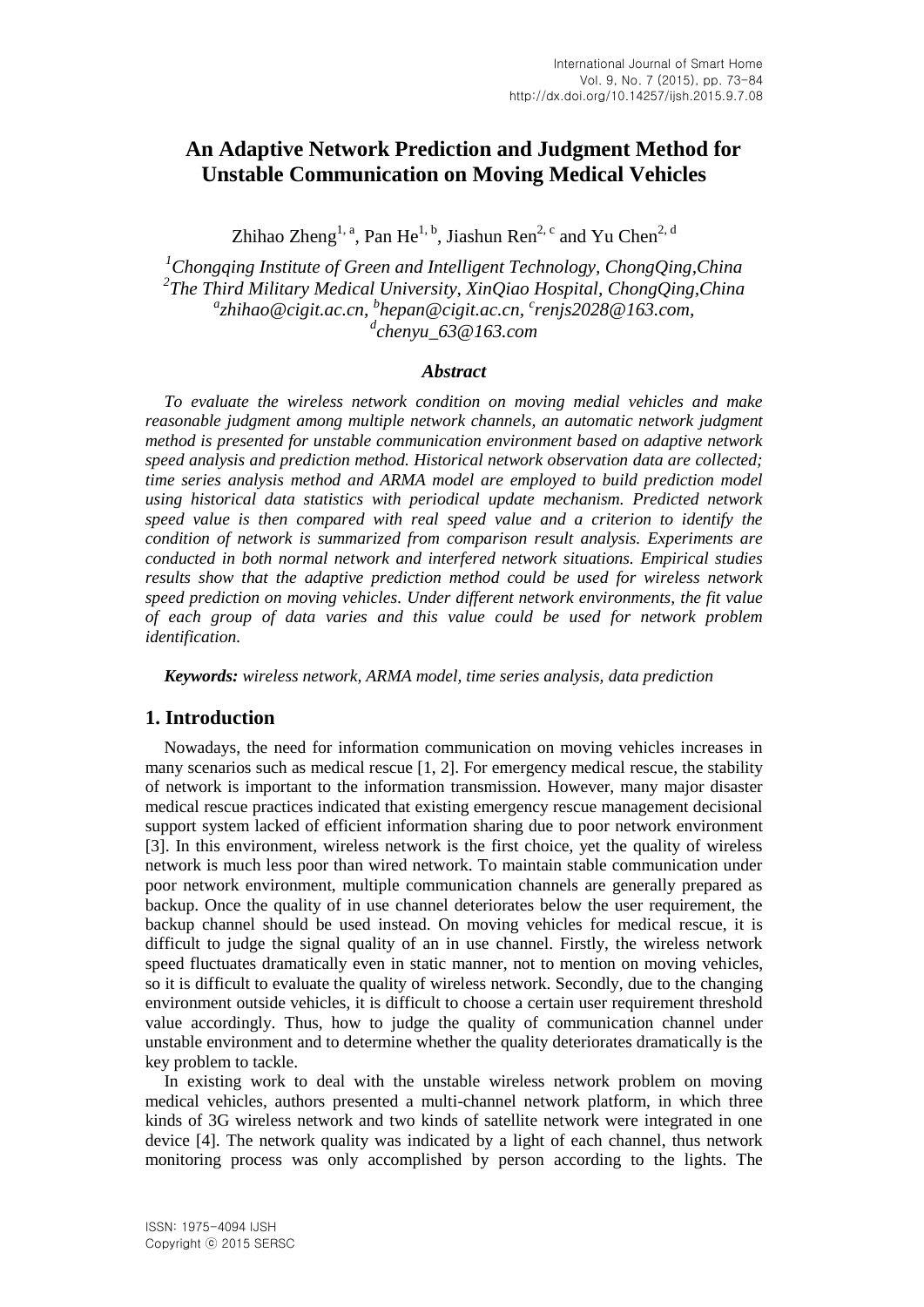# **An Adaptive Network Prediction and Judgment Method for Unstable Communication on Moving Medical Vehicles**

Zhihao Zheng<sup>1, a</sup>, Pan He<sup>1, b</sup>, Jiashun Ren<sup>2, c</sup> and Yu Chen<sup>2, d</sup>

*<sup>1</sup>Chongqing Institute of Green and Intelligent Technology, ChongQing,China 2 The Third Military Medical University, XinQiao Hospital, ChongQing,China a zhihao@cigit.ac.cn, <sup>b</sup> hepan@cigit.ac.cn, <sup>c</sup> renjs2028@163.com, d chenyu\_63@163.com*

### *Abstract*

*To evaluate the wireless network condition on moving medial vehicles and make reasonable judgment among multiple network channels, an automatic network judgment method is presented for unstable communication environment based on adaptive network speed analysis and prediction method. Historical network observation data are collected; time series analysis method and ARMA model are employed to build prediction model using historical data statistics with periodical update mechanism. Predicted network speed value is then compared with real speed value and a criterion to identify the condition of network is summarized from comparison result analysis. Experiments are conducted in both normal network and interfered network situations. Empirical studies results show that the adaptive prediction method could be used for wireless network speed prediction on moving vehicles. Under different network environments, the fit value of each group of data varies and this value could be used for network problem identification.*

*Keywords: wireless network, ARMA model, time series analysis, data prediction*

## **1. Introduction**

Nowadays, the need for information communication on moving vehicles increases in many scenarios such as medical rescue [1, 2]. For emergency medical rescue, the stability of network is important to the information transmission. However, many major disaster medical rescue practices indicated that existing emergency rescue management decisional support system lacked of efficient information sharing due to poor network environment [3]. In this environment, wireless network is the first choice, yet the quality of wireless network is much less poor than wired network. To maintain stable communication under poor network environment, multiple communication channels are generally prepared as backup. Once the quality of in use channel deteriorates below the user requirement, the backup channel should be used instead. On moving vehicles for medical rescue, it is difficult to judge the signal quality of an in use channel. Firstly, the wireless network speed fluctuates dramatically even in static manner, not to mention on moving vehicles, so it is difficult to evaluate the quality of wireless network. Secondly, due to the changing environment outside vehicles, it is difficult to choose a certain user requirement threshold value accordingly. Thus, how to judge the quality of communication channel under unstable environment and to determine whether the quality deteriorates dramatically is the key problem to tackle.

In existing work to deal with the unstable wireless network problem on moving medical vehicles, authors presented a multi-channel network platform, in which three kinds of 3G wireless network and two kinds of satellite network were integrated in one device [4]. The network quality was indicated by a light of each channel, thus network monitoring process was only accomplished by person according to the lights. The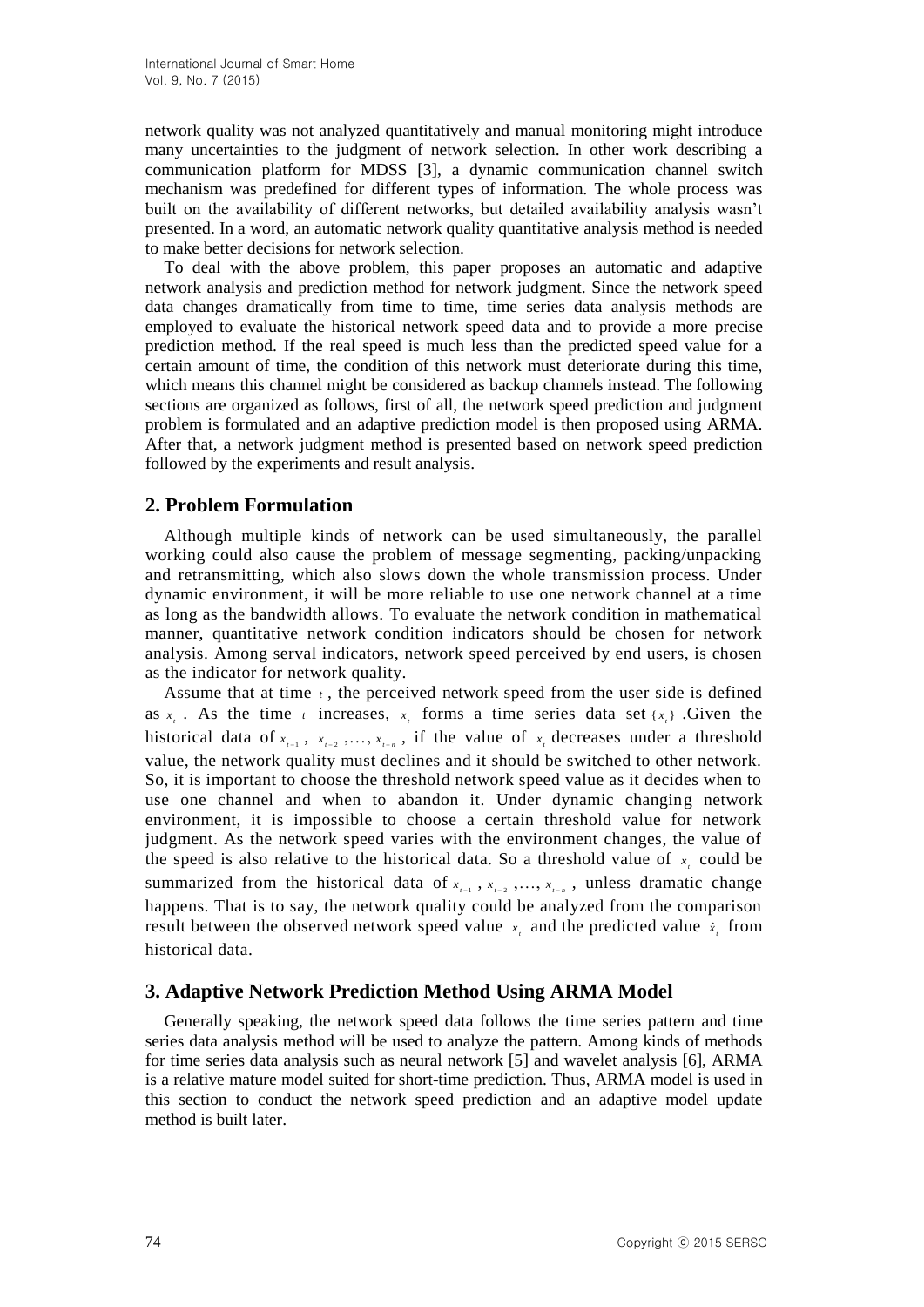network quality was not analyzed quantitatively and manual monitoring might introduce many uncertainties to the judgment of network selection. In other work describing a communication platform for MDSS [3], a dynamic communication channel switch mechanism was predefined for different types of information. The whole process was built on the availability of different networks, but detailed availability analysis wasn't presented. In a word, an automatic network quality quantitative analysis method is needed to make better decisions for network selection.

To deal with the above problem, this paper proposes an automatic and adaptive network analysis and prediction method for network judgment. Since the network speed data changes dramatically from time to time, time series data analysis methods are employed to evaluate the historical network speed data and to provide a more precise prediction method. If the real speed is much less than the predicted speed value for a certain amount of time, the condition of this network must deteriorate during this time, which means this channel might be considered as backup channels instead. The following sections are organized as follows, first of all, the network speed prediction and judgment problem is formulated and an adaptive prediction model is then proposed using ARMA. After that, a network judgment method is presented based on network speed prediction followed by the experiments and result analysis.

# **2. Problem Formulation**

Although multiple kinds of network can be used simultaneously, the parallel working could also cause the problem of message segmenting, packing/unpacking and retransmitting, which also slows down the whole transmission process. Under dynamic environment, it will be more reliable to use one network channel at a time as long as the bandwidth allows. To evaluate the network condition in mathematical manner, quantitative network condition indicators should be chosen for network analysis. Among serval indicators, network speed perceived by end users, is chosen as the indicator for network quality.

Assume that at time  $t$ , the perceived network speed from the user side is defined as  $x<sub>i</sub>$ . As the time *t* increases,  $x<sub>i</sub>$  forms a time series data set  $\{x<sub>i</sub>\}$ . Given the historical data of  $x_{i-1}$ ,  $x_{i-2}$ ,  $\ldots$ ,  $x_{i-n}$ , if the value of  $x_i$  decreases under a threshold value, the network quality must declines and it should be switched to other network. So, it is important to choose the threshold network speed value as it decides when to use one channel and when to abandon it. Under dynamic changing network environment, it is impossible to choose a certain threshold value for network judgment. As the network speed varies with the environment changes, the value of the speed is also relative to the historical data. So a threshold value of  $x<sub>i</sub>$  could be summarized from the historical data of  $x_{i-1}$ ,  $x_{i-2}$ , ...,  $x_{i-n}$ , unless dramatic change happens. That is to say, the network quality could be analyzed from the comparison result between the observed network speed value  $x_i$  and the predicted value  $\hat{x}_i$  from historical data.

## **3. Adaptive Network Prediction Method Using ARMA Model**

Generally speaking, the network speed data follows the time series pattern and time series data analysis method will be used to analyze the pattern. Among kinds of methods for time series data analysis such as neural network [5] and wavelet analysis [6], ARMA is a relative mature model suited for short-time prediction. Thus, ARMA model is used in this section to conduct the network speed prediction and an adaptive model update method is built later.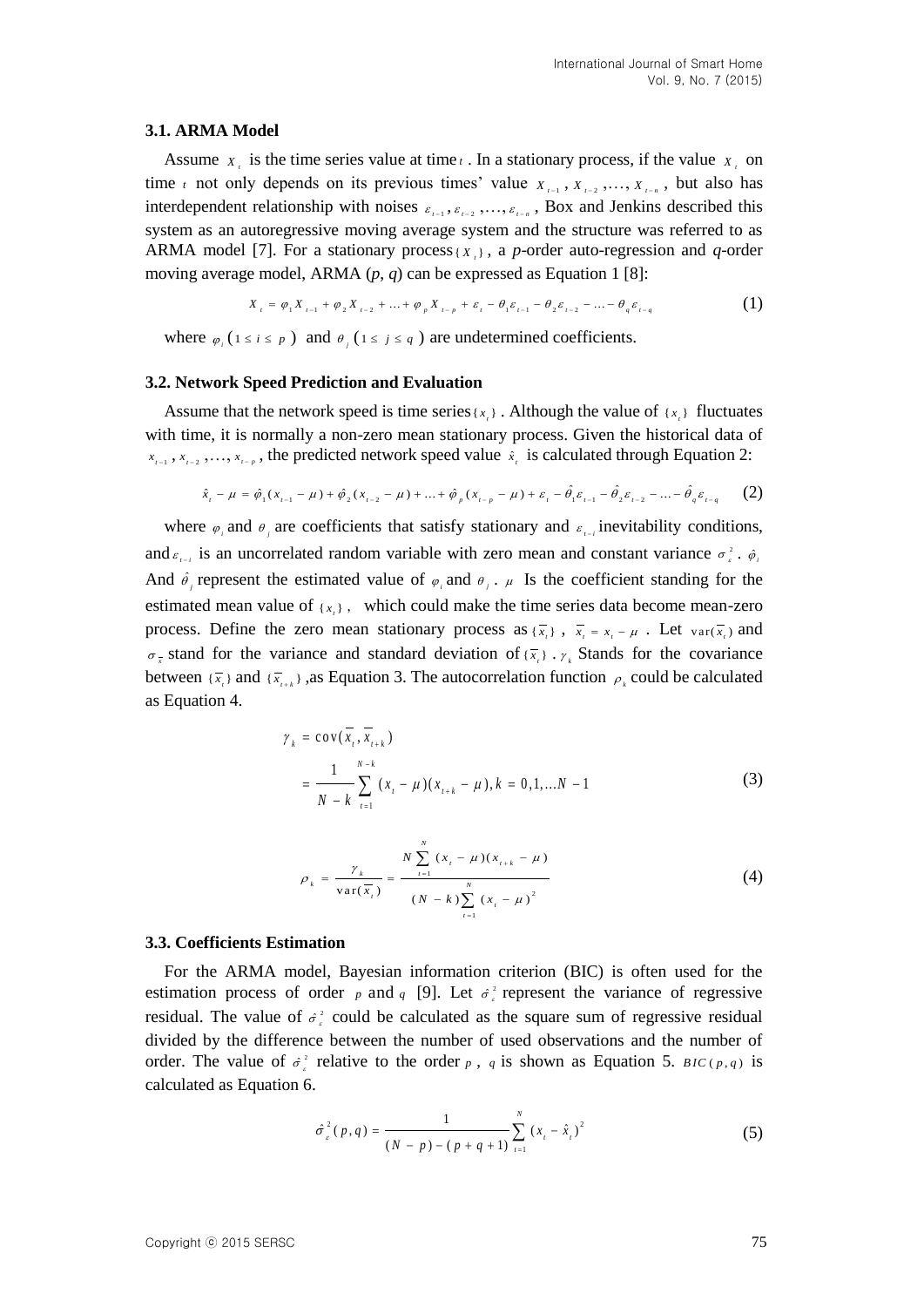#### **3.1. ARMA Model**

Assume  $x_i$  is the time series value at time  $t$ . In a stationary process, if the value  $x_i$  on time *t* not only depends on its previous times' value  $X_{t-1}$ ,  $X_{t-2}$ , ...,  $X_{t-n}$ , but also has interdependent relationship with noises  $\varepsilon_{i-1}, \varepsilon_{i-2}, \ldots, \varepsilon_{i-n}$ , Box and Jenkins described this system as an autoregressive moving average system and the structure was referred to as ARMA model [7]. For a stationary process { $X$ <sub>i</sub>}, a *p*-order auto-regression and *q*-order moving average model, ARMA (*p*, *q*) can be expressed as Equation 1 [8]:<br>  $X_{i} = \varphi_{1} X_{i-1} + \varphi_{2} X_{i-2} + ... + \varphi_{p} X_{i-p} + \varepsilon_{i} - \theta_{1} \varepsilon_{i-1} - \theta_{2} \varepsilon_{i-2} - ... - \theta_{q} \varepsilon_{i-q}$  (1)

$$
X_{t} = \varphi_{1} X_{t-1} + \varphi_{2} X_{t-2} + \ldots + \varphi_{p} X_{t-p} + \varepsilon_{t} - \theta_{1} \varepsilon_{t-1} - \theta_{2} \varepsilon_{t-2} - \ldots - \theta_{q} \varepsilon_{t-q}
$$
 (1)

where  $\varphi_i$  ( $1 \le i \le p$ ) and  $\vartheta_j$  ( $1 \le j \le q$ ) are undetermined coefficients.

#### **3.2. Network Speed Prediction and Evaluation**

Assume that the network speed is time series  $\{x_i\}$ . Although the value of  $\{x_i\}$  fluctuates with time, it is normally a non-zero mean stationary process. Given the historical data of *x*<sub>*t*-1</sub>, *x*<sub>*t*-2</sub>,..., *x*<sub>*t*-p</sub>, the predicted network speed value  $\hat{x}_i$  is calculated through Equation 2:<br>  $\hat{x}_i - \mu = \hat{\varphi}_1(x_{i-1} - \mu) + \hat{\varphi}_2(x_{i-2} - \mu) + ... + \hat{\varphi}_p(x_{i-p} - \mu) + \varepsilon_i - \hat{\theta}_1 \varepsilon_{i-1} - \hat{\theta}_2 \varepsilon_{i-2} - ...$ 

$$
\hat{x}_{t} - \mu = \hat{\phi}_{1}(x_{t-1} - \mu) + \hat{\phi}_{2}(x_{t-2} - \mu) + \dots + \hat{\phi}_{p}(x_{t-p} - \mu) + \varepsilon_{t} - \hat{\theta}_{1}\varepsilon_{t-1} - \hat{\theta}_{2}\varepsilon_{t-2} - \dots - \hat{\theta}_{q}\varepsilon_{t-q}
$$
 (2)

where  $\varphi_i$  and  $\vartheta_j$  are coefficients that satisfy stationary and  $\varepsilon_{i-1}$  inevitability conditions, and  $\varepsilon_{i-1}$  is an uncorrelated random variable with zero mean and constant variance  $\sigma_i^2$ .  $\hat{\varphi}_i$ And  $\hat{\theta}_j$  represent the estimated value of  $\varphi_j$  and  $\theta_j$ .  $\mu$  Is the coefficient standing for the estimated mean value of  $\{x_i\}$ , which could make the time series data become mean-zero process. Define the zero mean stationary process as  $\{\overline{x_i}\}$ ,  $\overline{x_i} = x_i - \mu$ . Let  $var(\overline{x_i})$  and  $\sigma_{\bar{x}}$  stand for the variance and standard deviation of  $\{\bar{x}_i\}$ .  $\gamma_k$  Stands for the covariance between  $\{\bar{x}_i\}$  and  $\{\bar{x}_{i+k}\}$ , as Equation 3. The autocorrelation function  $\rho_k$  could be calculated as Equation 4.

$$
\gamma_{k} = \text{cov}(\overline{x}_{t}, \overline{x}_{t+k})
$$
  
= 
$$
\frac{1}{N-k} \sum_{t=1}^{N-k} (x_{t} - \mu)(x_{t+k} - \mu), k = 0, 1, ...N - 1
$$
 (3)

$$
\rho_{k} = \frac{\gamma_{k}}{\text{var}(\overline{x}_{i})} = \frac{N \sum_{i=1}^{N} (x_{i} - \mu)(x_{i+k} - \mu)}{(N - k) \sum_{i=1}^{N} (x_{i} - \mu)^{2}}
$$
(4)

### **3.3. Coefficients Estimation**

For the ARMA model, Bayesian information criterion (BIC) is often used for the estimation process of order  $p$  and  $q$  [9]. Let  $\sigma^2$  represent the variance of regressive residual. The value of  $\sigma^2$  could be calculated as the square sum of regressive residual divided by the difference between the number of used observations and the number of order. The value of  $\sigma^2$  relative to the order p, q is shown as Equation 5. *BIC*(p,q) is calculated as Equation 6.

$$
\hat{\sigma}_{\varepsilon}^{2}(p,q) = \frac{1}{(N-p) - (p+q+1)} \sum_{i=1}^{N} (x_{i} - \hat{x}_{i})^{2}
$$
\n(5)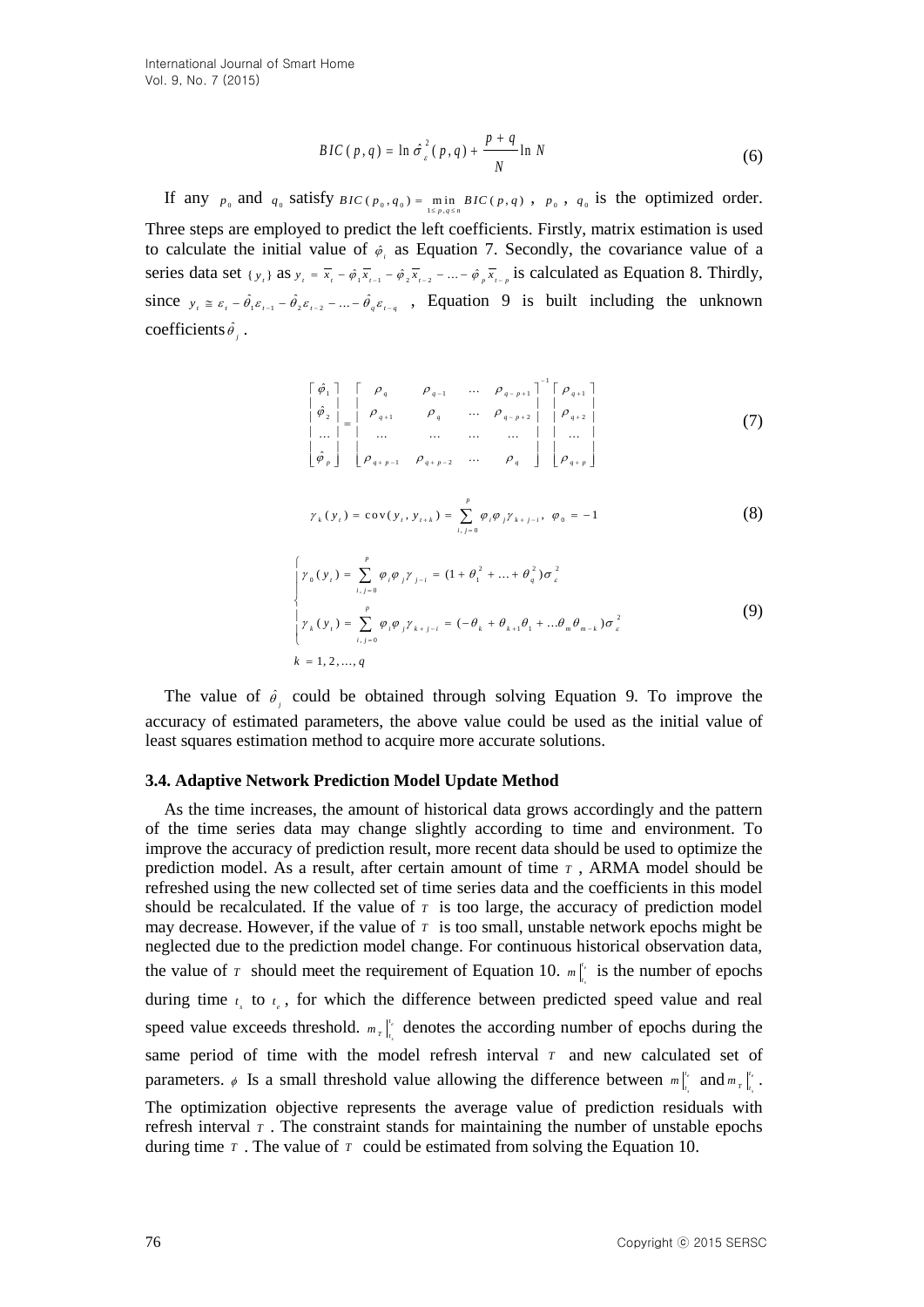$$
BIC(p, q) = \ln \hat{\sigma}_{\varepsilon}^{2}(p, q) + \frac{p + q}{N} \ln N
$$
 (6)

If any  $p_0$  and  $q_0$  satisfy  $BIC(p_0, q_0) = \min_{1 \le p, q \le n} BIC(p, q)$ ,  $p_0$ ,  $q_0$  is the optimized order. Three steps are employed to predict the left coefficients. Firstly, matrix estimation is used to calculate the initial value of  $\phi_i$  as Equation 7. Secondly, the covariance value of a series data set  $\{y_i\}$  as  $y_i = \overline{x}_i - \hat{\phi}_1 \overline{x}_{i-1} - \hat{\phi}_2 \overline{x}_{i-2} - \dots - \hat{\phi}_p \overline{x}_{i-p}$  is calculated as Equation 8. Thirdly, since  $y_i \equiv \varepsilon_i - \hat{\theta}_1 \varepsilon_{i-1} - \hat{\theta}_2 \varepsilon_{i-2} - \dots - \hat{\theta}_q \varepsilon_{i-q}$ , Equation 9 is built including the unknown coefficients  $\hat{\theta}_i$ .

$$
\begin{bmatrix}\n\hat{\varphi}_{1} \\
\hat{\varphi}_{2} \\
\vdots \\
\hat{\varphi}_{2} \\
\vdots \\
\hat{\varphi}_{p}\n\end{bmatrix}\n\begin{bmatrix}\n\rho_{q} & \rho_{q-1} & \cdots & \rho_{q-p+1} \\
\rho_{q+1} & \rho_{q} & \cdots & \rho_{q-p+2} \\
\vdots & \vdots & \ddots & \vdots \\
\rho_{q+p-1} & \rho_{q+p-2} & \cdots & \rho_{q}\n\end{bmatrix}\n\begin{bmatrix}\n\rho_{q+1} \\
\rho_{q+2} \\
\rho_{q+2} \\
\vdots \\
\rho_{q+p}\n\end{bmatrix}
$$
\n(7)

$$
\gamma_{k}(y_{t}) = \text{cov}(y_{t}, y_{t+k}) = \sum_{i,j=0}^{p} \varphi_{i} \varphi_{j} \gamma_{k+j-i}, \ \varphi_{0} = -1
$$
 (8)

$$
\begin{cases}\n\gamma_0(y_i) = \sum_{i,j=0}^p \varphi_i \varphi_j \gamma_{j-i} = (1 + \theta_1^2 + \dots + \theta_q^2) \sigma_\varepsilon^2 \\
\gamma_k(y_i) = \sum_{i,j=0}^p \varphi_i \varphi_j \gamma_{k+j-i} = (-\theta_k + \theta_{k+1}\theta_1 + \dots + \theta_m \theta_{m-k}) \sigma_\varepsilon^2 \\
k = 1, 2, ..., q\n\end{cases}
$$
\n(9)

The value of  $\hat{\theta}_j$  could be obtained through solving Equation 9. To improve the accuracy of estimated parameters, the above value could be used as the initial value of least squares estimation method to acquire more accurate solutions.

#### **3.4. Adaptive Network Prediction Model Update Method**

 $BC(x, y) = \ln a^2, (y, z) + \frac{1}{a^2} \ln N$  (6)<br>
If any  $y_1$  and  $y_2$  satisfy  $BC(x_0, e_0) = \frac{1}{c^2} \ln N$ <br>
Three steps are completed to predict the coefficients. The convention is used<br>
to calculate the initial value of  $e_1$  as Figu As the time increases, the amount of historical data grows accordingly and the pattern of the time series data may change slightly according to time and environment. To improve the accuracy of prediction result, more recent data should be used to optimize the prediction model. As a result, after certain amount of time *T* , ARMA model should be refreshed using the new collected set of time series data and the coefficients in this model should be recalculated. If the value of  $\tau$  is too large, the accuracy of prediction model may decrease. However, if the value of  $\tau$  is too small, unstable network epochs might be neglected due to the prediction model change. For continuous historical observation data, the value of  $\tau$  should meet the requirement of Equation 10.  $m$ <sup> $\mu$ </sup> *s t*  $m \Big|_t^{t_e}$  is the number of epochs during time  $t_{s}$  to  $t_{e}$ , for which the difference between predicted speed value and real speed value exceeds threshold.  $m_{\tau}$ <sup>"</sup> *s*  $m_{\tau}$   $\vert t_{\tau} \vert$  denotes the according number of epochs during the same period of time with the model refresh interval  $\tau$  and new calculated set of parameters.  $\phi$  Is a small threshold value allowing the difference between  $m$ <sup>1</sup>  $m \Big|_{t_c}^{t_e}$  and  $m \Big|_{t_c}^{t_e}$  $m_{T}$   $\Big|_{t_{c}}^{t_{e}}$  . The optimization objective represents the average value of prediction residuals with refresh interval  $\tau$ . The constraint stands for maintaining the number of unstable epochs

during time  $\tau$ . The value of  $\tau$  could be estimated from solving the Equation 10.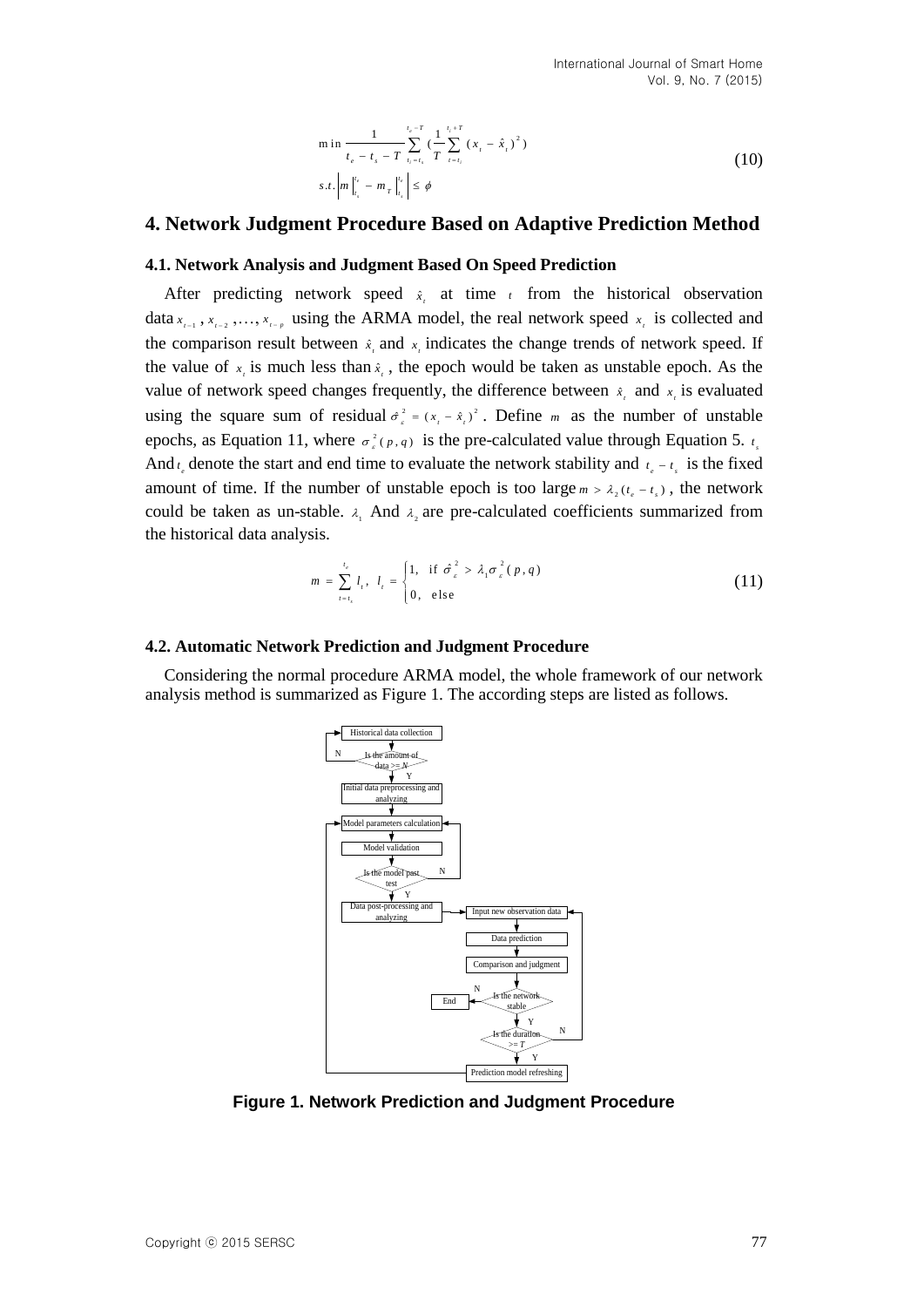$$
\min \frac{1}{t_e - t_s - T} \sum_{i_1 = t_i}^{t_e - T} \left(\frac{1}{T} \sum_{t = t_i}^{t_i + T} (x_t - \hat{x}_t)^2\right)
$$
\n
$$
s.t. \left| m \right|_{t_s}^{t_e} - m_T \left|_{t_s}^{t_e} \right| \le \phi
$$
\n(10)

## **4. Network Judgment Procedure Based on Adaptive Prediction Method**

#### **4.1. Network Analysis and Judgment Based On Speed Prediction**

After predicting network speed  $\hat{x}$ , at time *t* from the historical observation data  $x_{i-1}$ ,  $x_{i-2}$ , ...,  $x_{i-p}$  using the ARMA model, the real network speed  $x_i$  is collected and the comparison result between  $\hat{x}$ , and  $\hat{x}$ , indicates the change trends of network speed. If the value of  $x_i$  is much less than  $\hat{x}_i$ , the epoch would be taken as unstable epoch. As the value of network speed changes frequently, the difference between  $\hat{x}_i$  and  $\hat{x}_i$  is evaluated using the square sum of residual  $\hat{\sigma}_s^2 = (x_t - \hat{x}_t)^2$ . Define *m* as the number of unstable epochs, as Equation 11, where  $\sigma_e^2(p,q)$  is the pre-calculated value through Equation 5.  $t_s$ And  $t_e$  denote the start and end time to evaluate the network stability and  $t_e - t_s$  is the fixed amount of time. If the number of unstable epoch is too large  $m > \lambda_2(t_e - t_s)$ , the network could be taken as un-stable.  $\lambda_1$  And  $\lambda_2$  are pre-calculated coefficients summarized from the historical data analysis.

$$
m = \sum_{t=t_s}^{t_e} l_t, \quad l_t = \begin{cases} 1, & \text{if } \hat{\sigma}_s^2 > \lambda_1 \sigma_s^2(p,q) \\ 0, & \text{else} \end{cases} \tag{11}
$$

#### **4.2. Automatic Network Prediction and Judgment Procedure**

Considering the normal procedure ARMA model, the whole framework of our network analysis method is summarized as Figure 1. The according steps are listed as follows.



**Figure 1. Network Prediction and Judgment Procedure**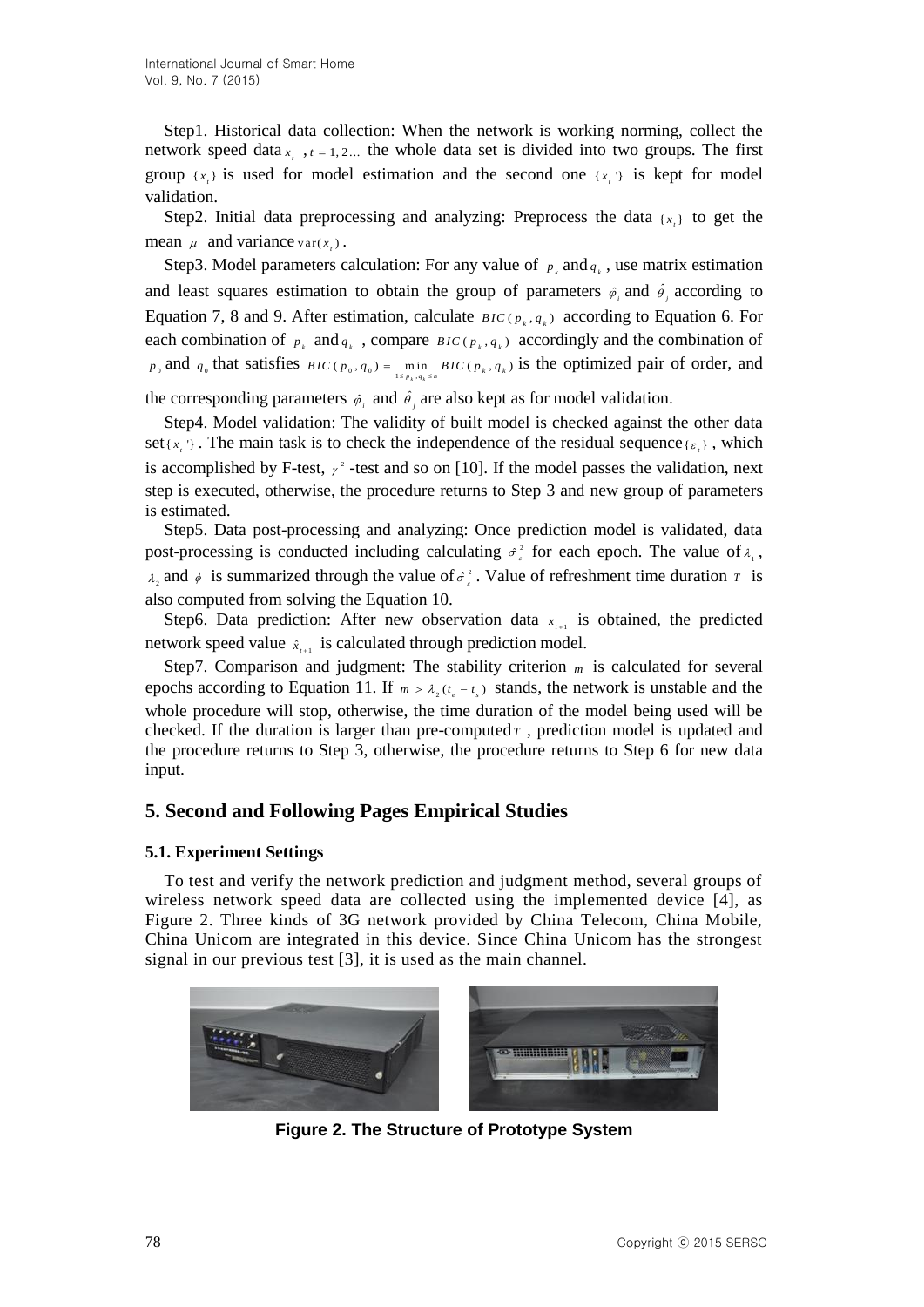Step1. Historical data collection: When the network is working norming, collect the network speed data  $x_t$ ,  $t = 1, 2...$  the whole data set is divided into two groups. The first group  $\{x_i\}$  is used for model estimation and the second one  $\{x_i\}$  is kept for model validation.

Step2. Initial data preprocessing and analyzing: Preprocess the data  $\{x_i\}$  to get the mean  $\mu$  and variance var( $x_i$ ).

Step3. Model parameters calculation: For any value of  $p_k$  and  $q_k$ , use matrix estimation and least squares estimation to obtain the group of parameters  $\hat{\varphi}_i$  and  $\hat{\varphi}_j$  according to Equation 7, 8 and 9. After estimation, calculate  $_{BIC(p_k, q_k)}$  according to Equation 6. For each combination of  $p_k$  and  $q_k$ , compare  $BIC(p_k, q_k)$  accordingly and the combination of  $p_0$  and  $q_0$  that satisfies  $BIC(p_0, q_0) = \min_{1 \le p_k, q_k \le n} BIC(p_k, q_k)$  is the optimized pair of order, and

the corresponding parameters  $\hat{\varphi}_i$  and  $\hat{\theta}_j$  are also kept as for model validation.

Step4. Model validation: The validity of built model is checked against the other data set  $\{x_i\}$ . The main task is to check the independence of the residual sequence  $\{\varepsilon_i\}$ , which is accomplished by F-test,  $\gamma^2$ -test and so on [10]. If the model passes the validation, next step is executed, otherwise, the procedure returns to Step 3 and new group of parameters is estimated.

Step5. Data post-processing and analyzing: Once prediction model is validated, data post-processing is conducted including calculating  $\sigma_i^2$  for each epoch. The value of  $\lambda_i$ ,  $\lambda_2$  and  $\phi$  is summarized through the value of  $\sigma^2$ . Value of refreshment time duration  $\tau$  is also computed from solving the Equation 10.

Step6. Data prediction: After new observation data  $x_{i+1}$  is obtained, the predicted network speed value  $\hat{x}_{i+1}$  is calculated through prediction model.

Step7. Comparison and judgment: The stability criterion m is calculated for several epochs according to Equation 11. If  $m > \lambda_2(t_e - t_s)$  stands, the network is unstable and the whole procedure will stop, otherwise, the time duration of the model being used will be checked. If the duration is larger than pre-computed  $\tau$ , prediction model is updated and the procedure returns to Step 3, otherwise, the procedure returns to Step 6 for new data input.

# **5. Second and Following Pages Empirical Studies**

## **5.1. Experiment Settings**

To test and verify the network prediction and judgment method, several groups of wireless network speed data are collected using the implemented device [4], as Figure 2. Three kinds of 3G network provided by China Telecom, China Mobile, China Unicom are integrated in this device. Since China Unicom has the strongest signal in our previous test [3], it is used as the main channel.



**Figure 2. The Structure of Prototype System**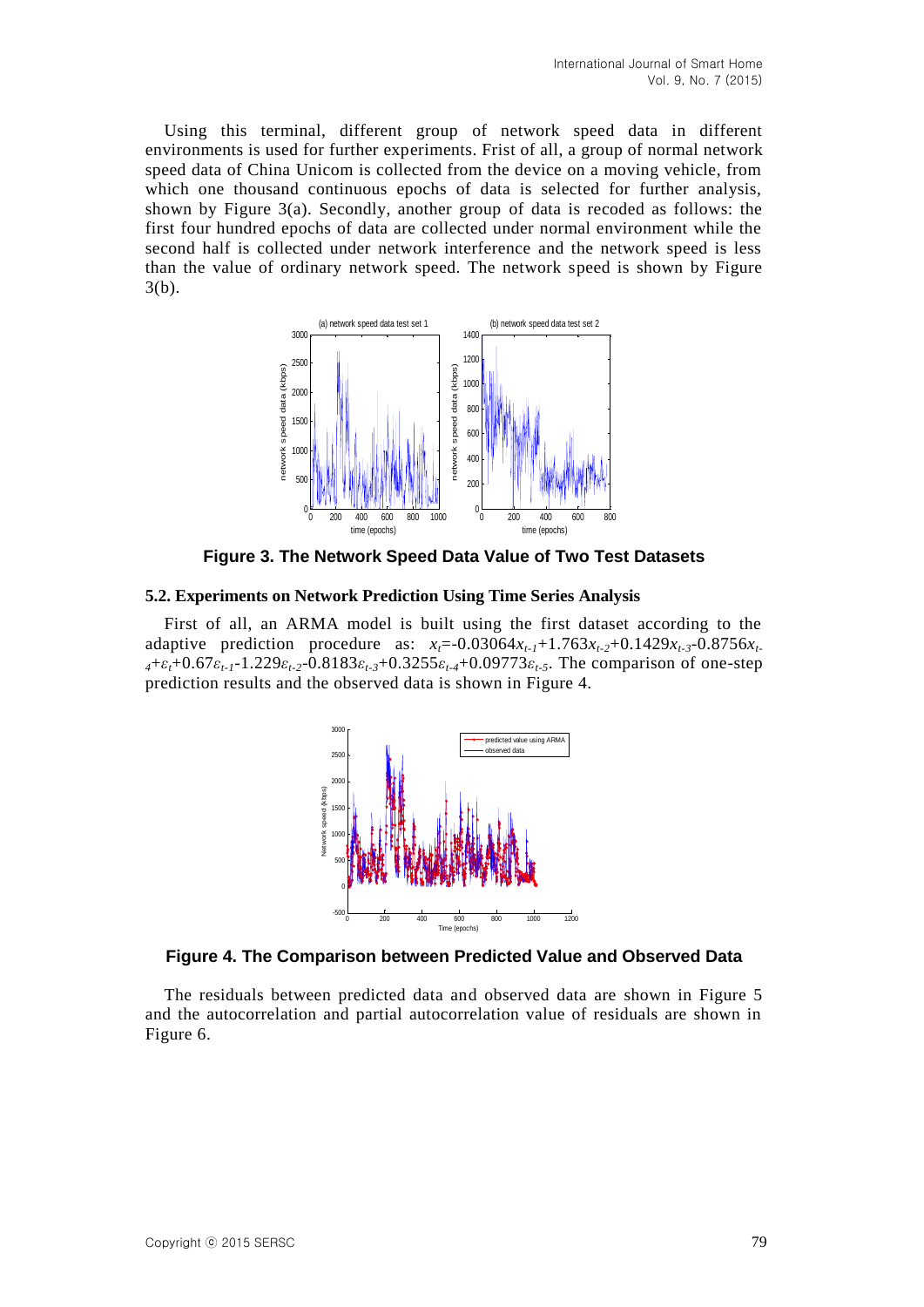Using this terminal, different group of network speed data in different environments is used for further experiments. Frist of all, a group of normal network speed data of China Unicom is collected from the device on a moving vehicle, from which one thousand continuous epochs of data is selected for further analysis, shown by Figure  $3(a)$ . Secondly, another group of data is recoded as follows: the first four hundred epochs of data are collected under normal environment while the second half is collected under network interference and the network speed is less than the value of ordinary network speed. The network speed is shown by Figure 3(b).



**Figure 3. The Network Speed Data Value of Two Test Datasets**

#### **5.2. Experiments on Network Prediction Using Time Series Analysis**

First of all, an ARMA model is built using the first dataset according to the adaptive prediction procedure as:  $x_t = -0.03064x_{t-1} + 1.763x_{t-2} + 0.1429x_{t-3} - 0.8756x_t$ *<sup>4</sup>*+*εt*+0.67*εt-1*-1.229*εt-2*-0.8183*εt-3*+0.3255*εt-4*+0.09773*εt-5*. The comparison of one-step prediction results and the observed data is shown in Figure 4.



**Figure 4. The Comparison between Predicted Value and Observed Data**

The residuals between predicted data and observed data are shown in Figure 5 and the autocorrelation and partial autocorrelation value of residuals are shown in Figure 6.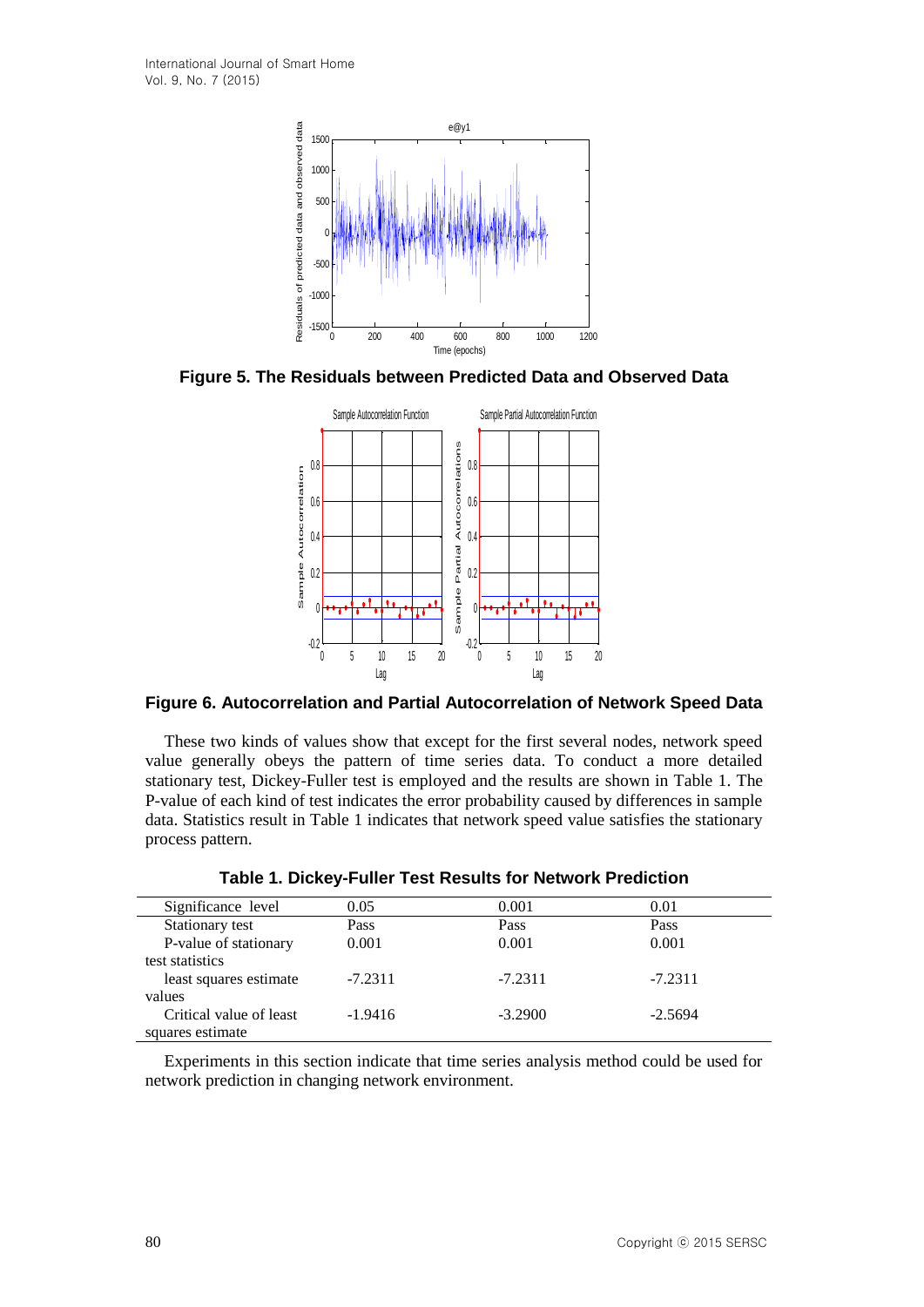

**Figure 5. The Residuals between Predicted Data and Observed Data**



**Figure 6. Autocorrelation and Partial Autocorrelation of Network Speed Data**

These two kinds of values show that except for the first several nodes, network speed value generally obeys the pattern of time series data. To conduct a more detailed stationary test, Dickey-Fuller test is employed and the results are shown in Table 1. The P-value of each kind of test indicates the error probability caused by differences in sample data. Statistics result in Table 1 indicates that network speed value satisfies the stationary process pattern.

| Significance level      | 0.05      | 0.001     | 0.01      |  |
|-------------------------|-----------|-----------|-----------|--|
| Stationary test         | Pass      | Pass      | Pass      |  |
| P-value of stationary   | 0.001     | 0.001     | 0.001     |  |
| test statistics         |           |           |           |  |
| least squares estimate  | $-7.2311$ | $-7.2311$ | $-7.2311$ |  |
| values                  |           |           |           |  |
| Critical value of least | $-1.9416$ | $-3.2900$ | $-2.5694$ |  |
| squares estimate        |           |           |           |  |

**Table 1. Dickey-Fuller Test Results for Network Prediction**

Experiments in this section indicate that time series analysis method could be used for network prediction in changing network environment.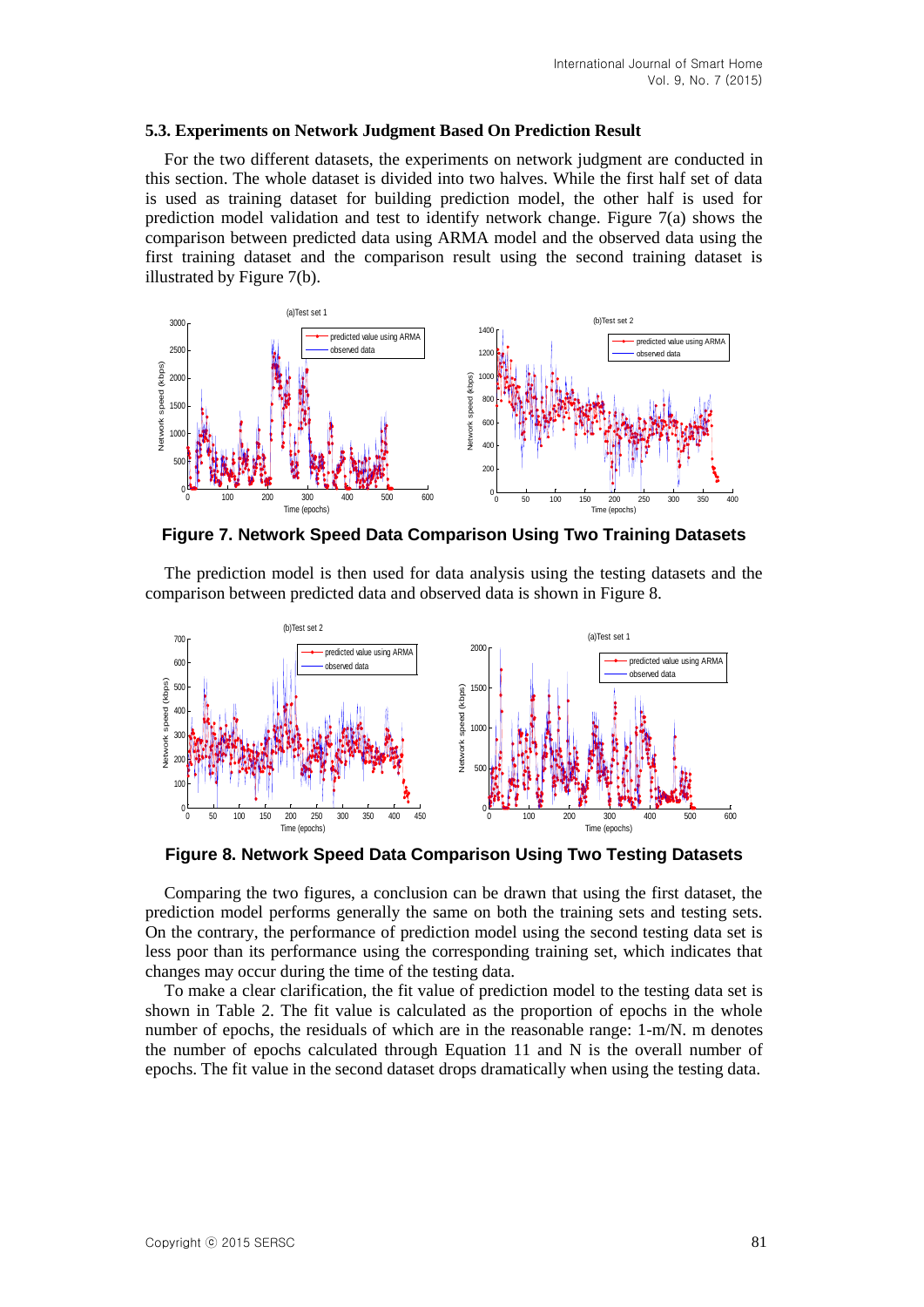### **5.3. Experiments on Network Judgment Based On Prediction Result**

For the two different datasets, the experiments on network judgment are conducted in this section. The whole dataset is divided into two halves. While the first half set of data is used as training dataset for building prediction model, the other half is used for prediction model validation and test to identify network change. Figure 7(a) shows the comparison between predicted data using ARMA model and the observed data using the first training dataset and the comparison result using the second training dataset is illustrated by Figure 7(b).



**Figure 7. Network Speed Data Comparison Using Two Training Datasets**

The prediction model is then used for data analysis using the testing datasets and the comparison between predicted data and observed data is shown in Figure 8.



**Figure 8. Network Speed Data Comparison Using Two Testing Datasets**

Comparing the two figures, a conclusion can be drawn that using the first dataset, the prediction model performs generally the same on both the training sets and testing sets. On the contrary, the performance of prediction model using the second testing data set is less poor than its performance using the corresponding training set, which indicates that changes may occur during the time of the testing data.

To make a clear clarification, the fit value of prediction model to the testing data set is shown in Table 2. The fit value is calculated as the proportion of epochs in the whole number of epochs, the residuals of which are in the reasonable range: 1-m/N. m denotes the number of epochs calculated through Equation 11 and N is the overall number of epochs. The fit value in the second dataset drops dramatically when using the testing data.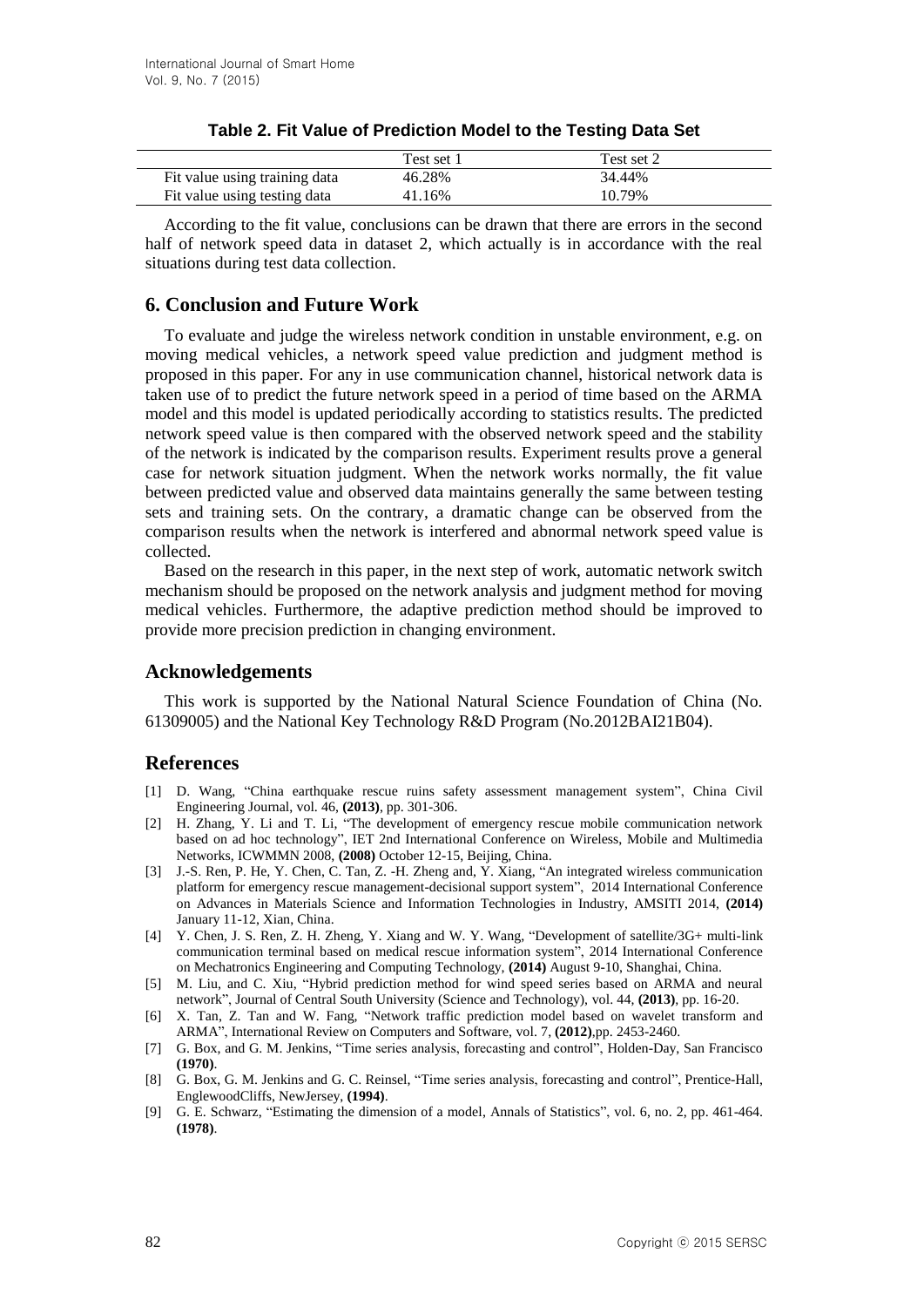| Test set 2<br>Test set 1                          |  |
|---------------------------------------------------|--|
|                                                   |  |
| 46.28%<br>34.44%<br>Fit value using training data |  |
| 10.79%<br>Fit value using testing data<br>41.16%  |  |

## **Table 2. Fit Value of Prediction Model to the Testing Data Set**

According to the fit value, conclusions can be drawn that there are errors in the second half of network speed data in dataset 2, which actually is in accordance with the real situations during test data collection.

## **6. Conclusion and Future Work**

To evaluate and judge the wireless network condition in unstable environment, e.g. on moving medical vehicles, a network speed value prediction and judgment method is proposed in this paper. For any in use communication channel, historical network data is taken use of to predict the future network speed in a period of time based on the ARMA model and this model is updated periodically according to statistics results. The predicted network speed value is then compared with the observed network speed and the stability of the network is indicated by the comparison results. Experiment results prove a general case for network situation judgment. When the network works normally, the fit value between predicted value and observed data maintains generally the same between testing sets and training sets. On the contrary, a dramatic change can be observed from the comparison results when the network is interfered and abnormal network speed value is collected.

Based on the research in this paper, in the next step of work, automatic network switch mechanism should be proposed on the network analysis and judgment method for moving medical vehicles. Furthermore, the adaptive prediction method should be improved to provide more precision prediction in changing environment.

## **Acknowledgements**

This work is supported by the National Natural Science Foundation of China (No. 61309005) and the National Key Technology R&D Program (No.2012BAI21B04).

## **References**

- [1] D. Wang, "China earthquake rescue ruins safety assessment management system", China Civil Engineering Journal, vol. 46, **(2013)**, pp. 301-306.
- [2] H. Zhang, Y. Li and T. Li, "The development of emergency rescue mobile communication network based on ad hoc technology", IET 2nd International Conference on Wireless, Mobile and Multimedia Networks, ICWMMN 2008, **(2008)** October 12-15, Beijing, China.
- [3] J.-S. Ren, P. He, Y. Chen, C. Tan, Z. -H. Zheng and, Y. Xiang, "An integrated wireless communication platform for emergency rescue management-decisional support system", 2014 International Conference on Advances in Materials Science and Information Technologies in Industry, AMSITI 2014, **(2014)** January 11-12, Xian, China.
- [4] Y. Chen, J. S. Ren, Z. H. Zheng, Y. Xiang and W. Y. Wang, "Development of satellite/3G+ multi-link communication terminal based on medical rescue information system", 2014 International Conference on Mechatronics Engineering and Computing Technology, **(2014)** August 9-10, Shanghai, China.
- [5] M. Liu, and C. Xiu, "Hybrid prediction method for wind speed series based on ARMA and neural network", Journal of Central South University (Science and Technology), vol. 44, **(2013)**, pp. 16-20.
- [6] X. Tan, Z. Tan and W. Fang, "Network traffic prediction model based on wavelet transform and ARMA", International Review on Computers and Software, vol. 7, **(2012)**,pp. 2453-2460.
- [7] G. Box, and G. M. Jenkins, "Time series analysis, forecasting and control", Holden-Day, San Francisco **(1970)**.
- [8] G. Box, G. M. Jenkins and G. C. Reinsel, "Time series analysis, forecasting and control", Prentice-Hall, EnglewoodCliffs, NewJersey, **(1994)**.
- [9] G. E. Schwarz, "Estimating the dimension of a model, Annals of Statistics", vol. 6, no. 2, pp. 461-464. **(1978)**.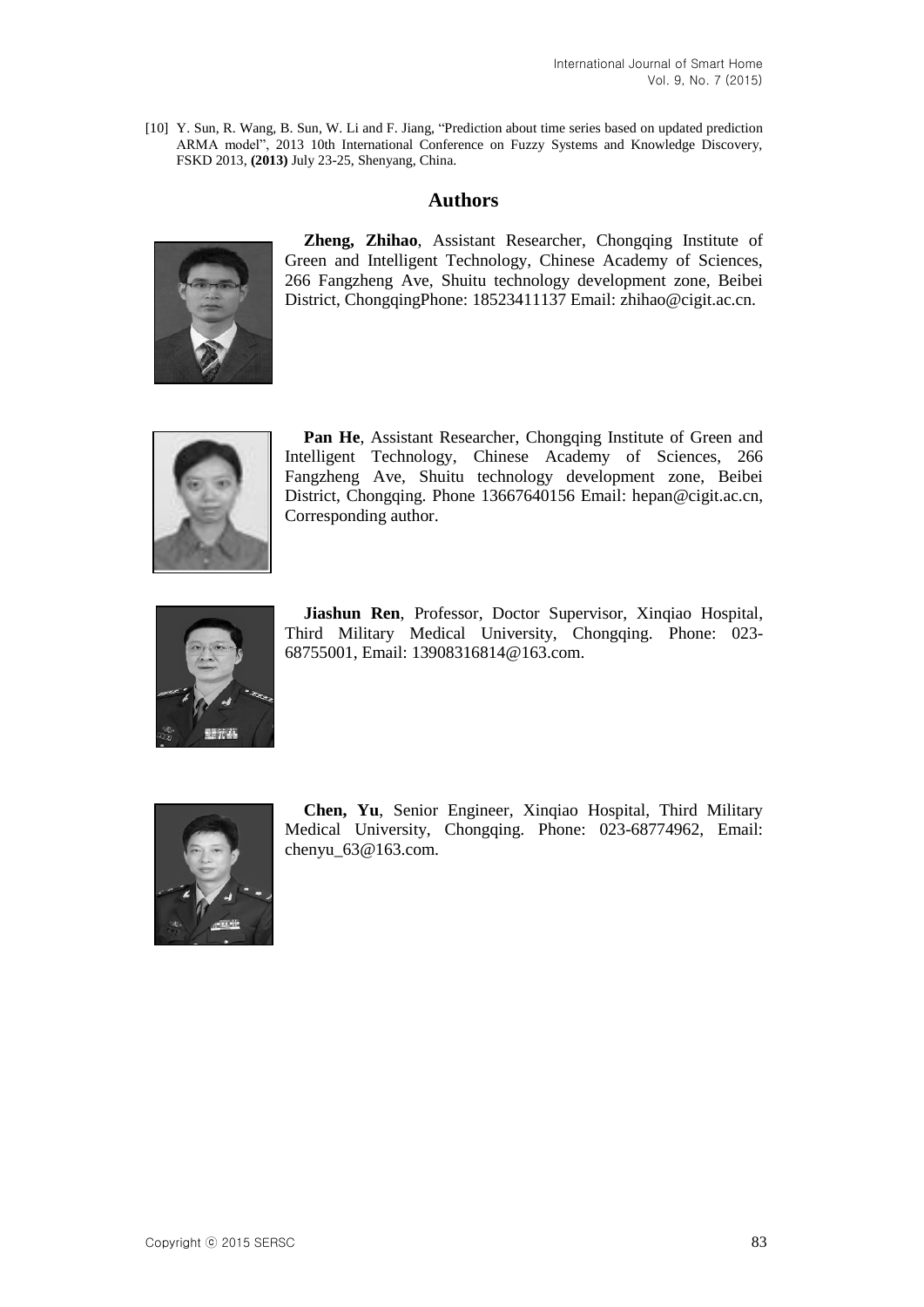[10] Y. Sun, R. Wang, B. Sun, W. Li and F. Jiang, "Prediction about time series based on updated prediction ARMA model", 2013 10th International Conference on Fuzzy Systems and Knowledge Discovery, FSKD 2013, **(2013)** July 23-25, Shenyang, China.

# **Authors**



**Zheng, Zhihao**, Assistant Researcher, Chongqing Institute of Green and Intelligent Technology, Chinese Academy of Sciences, 266 Fangzheng Ave, Shuitu technology development zone, Beibei District, ChongqingPhone: 18523411137 Email: zhihao@cigit.ac.cn.



**Pan He**, Assistant Researcher, Chongqing Institute of Green and Intelligent Technology, Chinese Academy of Sciences, 266 Fangzheng Ave, Shuitu technology development zone, Beibei District, Chongqing. Phone 13667640156 Email: [hepan@cigit.ac.cn,](mailto:hepan@cigit.ac.cn) Corresponding author.



**Jiashun Ren**, Professor, Doctor Supervisor, Xinqiao Hospital, Third Military Medical University, Chongqing. Phone: 023- 68755001, Email: 13908316814@163.com.



**Chen, Yu**, Senior Engineer, Xinqiao Hospital, Third Military Medical University, Chongqing. Phone: 023-68774962, Email: chenyu 63@163.com.